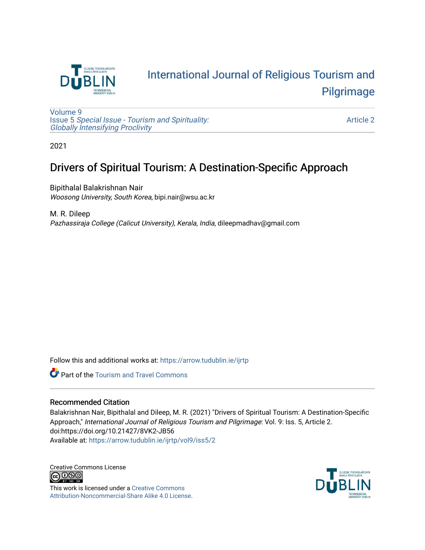

## [International Journal of Religious Tourism and](https://arrow.tudublin.ie/ijrtp)  [Pilgrimage](https://arrow.tudublin.ie/ijrtp)

[Volume 9](https://arrow.tudublin.ie/ijrtp/vol9) Issue 5 [Special Issue - Tourism and Spirituality:](https://arrow.tudublin.ie/ijrtp/vol9/iss5)  [Globally Intensifying Proclivity](https://arrow.tudublin.ie/ijrtp/vol9/iss5)

[Article 2](https://arrow.tudublin.ie/ijrtp/vol9/iss5/2) 

2021

## Drivers of Spiritual Tourism: A Destination-Specific Approach

Bipithalal Balakrishnan Nair Woosong University, South Korea, bipi.nair@wsu.ac.kr

M. R. Dileep Pazhassiraja College (Calicut University), Kerala, India, dileepmadhav@gmail.com

Follow this and additional works at: [https://arrow.tudublin.ie/ijrtp](https://arrow.tudublin.ie/ijrtp?utm_source=arrow.tudublin.ie%2Fijrtp%2Fvol9%2Fiss5%2F2&utm_medium=PDF&utm_campaign=PDFCoverPages)

**Part of the [Tourism and Travel Commons](http://network.bepress.com/hgg/discipline/1082?utm_source=arrow.tudublin.ie%2Fijrtp%2Fvol9%2Fiss5%2F2&utm_medium=PDF&utm_campaign=PDFCoverPages)** 

#### Recommended Citation

Balakrishnan Nair, Bipithalal and Dileep, M. R. (2021) "Drivers of Spiritual Tourism: A Destination-Specific Approach," International Journal of Religious Tourism and Pilgrimage: Vol. 9: Iss. 5, Article 2. doi:https://doi.org/10.21427/8VK2-JB56 Available at: [https://arrow.tudublin.ie/ijrtp/vol9/iss5/2](https://arrow.tudublin.ie/ijrtp/vol9/iss5/2?utm_source=arrow.tudublin.ie%2Fijrtp%2Fvol9%2Fiss5%2F2&utm_medium=PDF&utm_campaign=PDFCoverPages)

Creative Commons License<br>  $\overline{G}$  000

This work is licensed under a [Creative Commons](https://creativecommons.org/licenses/by-nc-sa/4.0/) [Attribution-Noncommercial-Share Alike 4.0 License](https://creativecommons.org/licenses/by-nc-sa/4.0/).

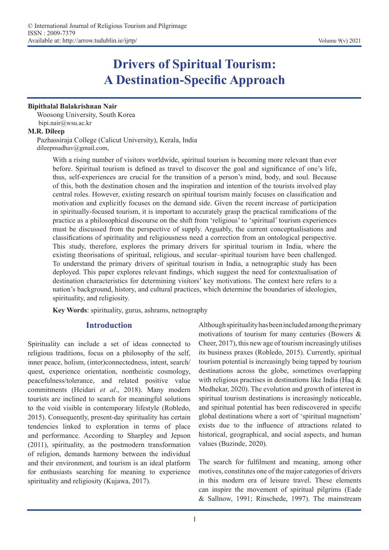# **Drivers of Spiritual Tourism: A Destination-Specific Approach**

#### **Bipithalal Balakrishnan Nair**

Woosong University, South Korea bipi.nair@wsu.ac.kr

#### **M.R. Dileep**

Pazhassiraja College (Calicut University), Kerala, India dileepmadhav@gmail.com,

> With a rising number of visitors worldwide, spiritual tourism is becoming more relevant than ever before. Spiritual tourism is defined as travel to discover the goal and significance of one's life, thus, self-experiences are crucial for the transition of a person's mind, body, and soul. Because of this, both the destination chosen and the inspiration and intention of the tourists involved play central roles. However, existing research on spiritual tourism mainly focuses on classification and motivation and explicitly focuses on the demand side. Given the recent increase of participation in spiritually-focused tourism, it is important to accurately grasp the practical ramifications of the practice as a philosophical discourse on the shift from 'religious' to 'spiritual' tourism experiences must be discussed from the perspective of supply. Arguably, the current conceptualisations and classifications of spirituality and religiousness need a correction from an ontological perspective. This study, therefore, explores the primary drivers for spiritual tourism in India, where the existing theorisations of spiritual, religious, and secular–spiritual tourism have been challenged. To understand the primary drivers of spiritual tourism in India, a netnographic study has been deployed. This paper explores relevant findings, which suggest the need for contextualisation of destination characteristics for determining visitors' key motivations. The context here refers to a nation's background, history, and cultural practices, which determine the boundaries of ideologies, spirituality, and religiosity.

**Key Words**: spirituality, gurus, ashrams, netnography

#### **Introduction**

Spirituality can include a set of ideas connected to religious traditions, focus on a philosophy of the self, inner peace, holism, (inter)connectedness, intent, search/ quest, experience orientation, nontheistic cosmology, peacefulness/tolerance, and related positive value commitments (Heidari *et al*., 2018). Many modern tourists are inclined to search for meaningful solutions to the void visible in contemporary lifestyle (Robledo, 2015). Consequently, present-day spirituality has certain tendencies linked to exploration in terms of place and performance. According to Sharpley and Jepson (2011), spirituality, as the postmodern transformation of religion, demands harmony between the individual and their environment, and tourism is an ideal platform for enthusiasts searching for meaning to experience spirituality and religiosity (Kujawa, 2017).

Although spirituality has been included among the primary motivations of tourism for many centuries (Bowers & Cheer, 2017), this new age of tourism increasingly utilises its business praxes (Robledo, 2015). Currently, spiritual tourism potential is increasingly being tapped by tourism destinations across the globe, sometimes overlapping with religious practises in destinations like India (Haq & Medhekar, 2020). The evolution and growth of interest in spiritual tourism destinations is increasingly noticeable, and spiritual potential has been rediscovered in specific global destinations where a sort of 'spiritual magnetism' exists due to the influence of attractions related to historical, geographical, and social aspects, and human values (Buzinde, 2020).

The search for fulfilment and meaning, among other motives, constitutes one of the major categories of drivers in this modern era of leisure travel. These elements can inspire the movement of spiritual pilgrims (Eade & Sallnow, 1991; Rinschede, 1997). The mainstream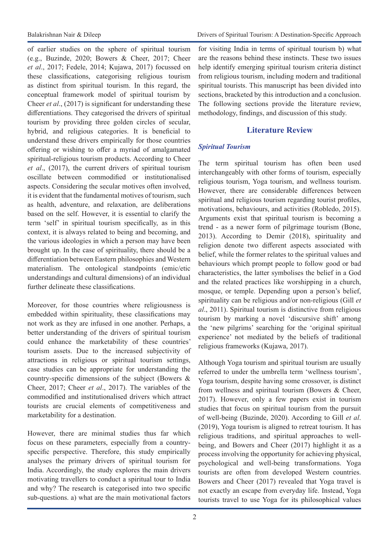of earlier studies on the sphere of spiritual tourism (e.g., Buzinde, 2020; Bowers & Cheer, 2017; Cheer *et al*., 2017; Fedele, 2014; Kujawa, 2017) focussed on these classifications, categorising religious tourism as distinct from spiritual tourism. In this regard, the conceptual framework model of spiritual tourism by Cheer *et al*., (2017) is significant for understanding these differentiations. They categorised the drivers of spiritual tourism by providing three golden circles of secular, hybrid, and religious categories. It is beneficial to understand these drivers empirically for those countries offering or wishing to offer a myriad of amalgamated spiritual-religious tourism products. According to Cheer *et al*., (2017), the current drivers of spiritual tourism oscillate between commodified or institutionalised aspects. Considering the secular motives often involved, it is evident that the fundamental motives of tourism, such as health, adventure, and relaxation, are deliberations based on the self. However, it is essential to clarify the term 'self' in spiritual tourism specifically, as in this context, it is always related to being and becoming, and the various ideologies in which a person may have been brought up. In the case of spirituality, there should be a differentiation between Eastern philosophies and Western materialism. The ontological standpoints (emic/etic understandings and cultural dimensions) of an individual further delineate these classifications.

Moreover, for those countries where religiousness is embedded within spirituality, these classifications may not work as they are infused in one another. Perhaps, a better understanding of the drivers of spiritual tourism could enhance the marketability of these countries' tourism assets. Due to the increased subjectivity of attractions in religious or spiritual tourism settings, case studies can be appropriate for understanding the country-specific dimensions of the subject (Bowers & Cheer, 2017; Cheer *et al*., 2017). The variables of the commodified and institutionalised drivers which attract tourists are crucial elements of competitiveness and marketability for a destination.

However, there are minimal studies thus far which focus on these parameters, especially from a countryspecific perspective. Therefore, this study empirically analyses the primary drivers of spiritual tourism for India. Accordingly, the study explores the main drivers motivating travellers to conduct a spiritual tour to India and why? The research is categorised into two specific sub-questions. a) what are the main motivational factors

Balakrishnan Nair & Dileep Drivers of Spiritual Tourism: A Destination-Specific Approach

for visiting India in terms of spiritual tourism b) what are the reasons behind these instincts. These two issues help identify emerging spiritual tourism criteria distinct from religious tourism, including modern and traditional spiritual tourists. This manuscript has been divided into sections, bracketed by this introduction and a conclusion. The following sections provide the literature review, methodology, findings, and discussion of this study.

## **Literature Review**

### *Spiritual Tourism*

The term spiritual tourism has often been used interchangeably with other forms of tourism, especially religious tourism, Yoga tourism, and wellness tourism. However, there are considerable differences between spiritual and religious tourism regarding tourist profiles, motivations, behaviours, and activities (Robledo, 2015). Arguments exist that spiritual tourism is becoming a trend - as a newer form of pilgrimage tourism (Bone, 2013). According to Demir (2018), spirituality and religion denote two different aspects associated with belief, while the former relates to the spiritual values and behaviours which prompt people to follow good or bad characteristics, the latter symbolises the belief in a God and the related practices like worshipping in a church, mosque, or temple. Depending upon a person's belief, spirituality can be religious and/or non-religious (Gill *et al*., 2011). Spiritual tourism is distinctive from religious tourism by marking a novel 'discursive shift' among the 'new pilgrims' searching for the 'original spiritual experience' not mediated by the beliefs of traditional religious frameworks (Kujawa, 2017).

Although Yoga tourism and spiritual tourism are usually referred to under the umbrella term 'wellness tourism', Yoga tourism, despite having some crossover, is distinct from wellness and spiritual tourism (Bowers & Cheer, 2017). However, only a few papers exist in tourism studies that focus on spiritual tourism from the pursuit of well-being (Buzinde, 2020). According to Gill *et al*. (2019), Yoga tourism is aligned to retreat tourism. It has religious traditions, and spiritual approaches to wellbeing, and Bowers and Cheer (2017) highlight it as a process involving the opportunity for achieving physical, psychological and well-being transformations. Yoga tourists are often from developed Western countries. Bowers and Cheer (2017) revealed that Yoga travel is not exactly an escape from everyday life. Instead, Yoga tourists travel to use Yoga for its philosophical values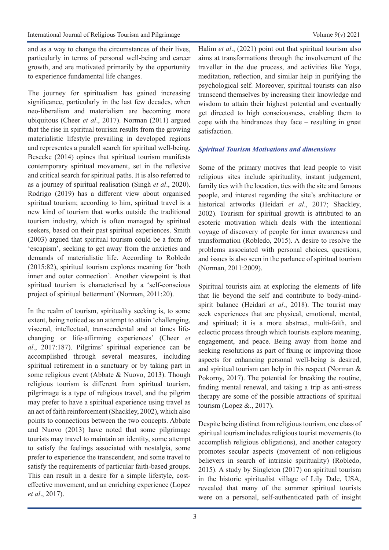and as a way to change the circumstances of their lives, particularly in terms of personal well-being and career growth, and are motivated primarily by the opportunity to experience fundamental life changes.

The journey for spiritualism has gained increasing significance, particularly in the last few decades, when neo-liberalism and materialism are becoming more ubiquitous (Cheer *et al*., 2017). Norman (2011) argued that the rise in spiritual tourism results from the growing materialistic lifestyle prevailing in developed regions and representes a paralell search for spiritual well-being. Besecke (2014) opines that spiritual tourism manifests contemporary spiritual movement, set in the reflexive and critical search for spiritual paths. It is also referred to as a journey of spiritual realisation (Singh *et al*., 2020). Rodrigo (2019) has a different view about organised spiritual tourism; according to him, spiritual travel is a new kind of tourism that works outside the traditional tourism industry, which is often managed by spiritual seekers, based on their past spiritual experiences. Smith (2003) argued that spiritual tourism could be a form of 'escapism', seeking to get away from the anxieties and demands of materialistic life. According to Robledo (2015:82), spiritual tourism explores meaning for 'both inner and outer connection'. Another viewpoint is that spiritual tourism is characterised by a 'self-conscious project of spiritual betterment' (Norman, 2011:20).

In the realm of tourism, spirituality seeking is, to some extent, being noticed as an attempt to attain 'challenging, visceral, intellectual, transcendental and at times lifechanging or life-affirming experiences' (Cheer *et al*., 2017:187). Pilgrims' spiritual experience can be accomplished through several measures, including spiritual retirement in a sanctuary or by taking part in some religious event (Abbate & Nuovo, 2013). Though religious tourism is different from spiritual tourism, pilgrimage is a type of religious travel, and the pilgrim may prefer to have a spiritual experience using travel as an act of faith reinforcement (Shackley, 2002), which also points to connections between the two concepts. Abbate and Nuovo (2013) have noted that some pilgrimage tourists may travel to maintain an identity, some attempt to satisfy the feelings associated with nostalgia, some prefer to experience the transcendent, and some travel to satisfy the requirements of particular faith-based groups. This can result in a desire for a simple lifestyle, costeffective movement, and an enriching experience (Lopez *et al*., 2017).

Halim *et al*., (2021) point out that spiritual tourism also aims at transformations through the involvement of the traveller in the due process, and activities like Yoga, meditation, reflection, and similar help in purifying the psychological self. Moreover, spiritual tourists can also transcend themselves by increasing their knowledge and wisdom to attain their highest potential and eventually get directed to high consciousness, enabling them to cope with the hindrances they face – resulting in great satisfaction.

#### *Spiritual Tourism Motivations and dimensions*

Some of the primary motives that lead people to visit religious sites include spirituality, instant judgement, family ties with the location, ties with the site and famous people, and interest regarding the site's architecture or historical artworks (Heidari *et al*., 2017; Shackley, 2002). Tourism for spiritual growth is attributed to an esoteric motivation which deals with the intentional voyage of discovery of people for inner awareness and transformation (Robledo, 2015). A desire to resolve the problems associated with personal choices, questions, and issues is also seen in the parlance of spiritual tourism (Norman, 2011:2009).

Spiritual tourists aim at exploring the elements of life that lie beyond the self and contribute to body-mindspirit balance (Heidari *et al*., 2018). The tourist may seek experiences that are physical, emotional, mental, and spiritual; it is a more abstract, multi-faith, and eclectic process through which tourists explore meaning, engagement, and peace. Being away from home and seeking resolutions as part of fixing or improving those aspects for enhancing personal well-being is desired, and spiritual tourism can help in this respect (Norman & Pokorny, 2017). The potential for breaking the routine, finding mental renewal, and taking a trip as anti-stress therapy are some of the possible attractions of spiritual tourism (Lopez &., 2017).

Despite being distinct from religious tourism, one class of spiritual tourism includes religious tourist movements (to accomplish religious obligations), and another category promotes secular aspects (movement of non-religious believers in search of intrinsic spirituality) (Robledo, 2015). A study by Singleton (2017) on spiritual tourism in the historic spiritualist village of Lily Dale, USA, revealed that many of the summer spiritual tourists were on a personal, self-authenticated path of insight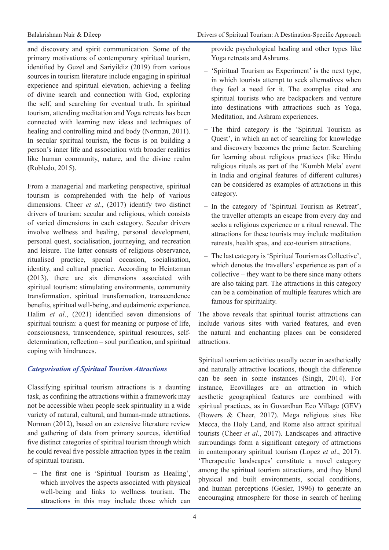and discovery and spirit communication. Some of the primary motivations of contemporary spiritual tourism, identified by Guzel and Sariyildiz (2019) from various sources in tourism literature include engaging in spiritual experience and spiritual elevation, achieving a feeling of divine search and connection with God, exploring the self, and searching for eventual truth. In spiritual tourism, attending meditation and Yoga retreats has been connected with learning new ideas and techniques of healing and controlling mind and body (Norman, 2011). In secular spiritual tourism, the focus is on building a person's inner life and association with broader realities like human community, nature, and the divine realm (Robledo, 2015).

From a managerial and marketing perspective, spiritual tourism is comprehended with the help of various dimensions. Cheer *et al*., (2017) identify two distinct drivers of tourism: secular and religious, which consists of varied dimensions in each category. Secular drivers involve wellness and healing, personal development, personal quest, socialisation, journeying, and recreation and leisure. The latter consists of religious observance, ritualised practice, special occasion, socialisation, identity, and cultural practice. According to Heintzman (2013), there are six dimensions associated with spiritual tourism: stimulating environments, community transformation, spiritual transformation, transcendence benefits, spiritual well-being, and eudaimonic experience. Halim *et al*., (2021) identified seven dimensions of spiritual tourism: a quest for meaning or purpose of life, consciousness, transcendence, spiritual resources, selfdetermination, reflection – soul purification, and spiritual coping with hindrances.

#### *Categorisation of Spiritual Tourism Attractions*

Classifying spiritual tourism attractions is a daunting task, as confining the attractions within a framework may not be accessible when people seek spirituality in a wide variety of natural, cultural, and human-made attractions. Norman (2012), based on an extensive literature review and gathering of data from primary sources, identified five distinct categories of spiritual tourism through which he could reveal five possible attraction types in the realm of spiritual tourism.

- The first one is 'Spiritual Tourism as Healing', which involves the aspects associated with physical well-being and links to wellness tourism. The attractions in this may include those which can provide psychological healing and other types like Yoga retreats and Ashrams.

- 'Spiritual Tourism as Experiment' is the next type, in which tourists attempt to seek alternatives when they feel a need for it. The examples cited are spiritual tourists who are backpackers and venture into destinations with attractions such as Yoga, Meditation, and Ashram experiences.
- The third category is the 'Spiritual Tourism as Quest', in which an act of searching for knowledge and discovery becomes the prime factor. Searching for learning about religious practices (like Hindu religious rituals as part of the 'Kumbh Mela' event in India and original features of different cultures) can be considered as examples of attractions in this category.
- In the category of 'Spiritual Tourism as Retreat', the traveller attempts an escape from every day and seeks a religious experience or a ritual renewal. The attractions for these tourists may include meditation retreats, health spas, and eco-tourism attractions.
- The last category is 'Spiritual Tourism as Collective', which denotes the travellers' experience as part of a collective – they want to be there since many others are also taking part. The attractions in this category can be a combination of multiple features which are famous for spirituality.

The above reveals that spiritual tourist attractions can include various sites with varied features, and even the natural and enchanting places can be considered attractions.

Spiritual tourism activities usually occur in aesthetically and naturally attractive locations, though the difference can be seen in some instances (Singh, 2014). For instance, Ecovillages are an attraction in which aesthetic geographical features are combined with spiritual practices, as in Govardhan Eco Village (GEV) (Bowers & Cheer, 2017). Mega religious sites like Mecca, the Holy Land, and Rome also attract spiritual tourists (Cheer *et al*., 2017). Landscapes and attractive surroundings form a significant category of attractions in contemporary spiritual tourism (Lopez *et al*., 2017). 'Therapeutic landscapes' constitute a novel category among the spiritual tourism attractions, and they blend physical and built environments, social conditions, and human perceptions (Gesler, 1996) to generate an encouraging atmosphere for those in search of healing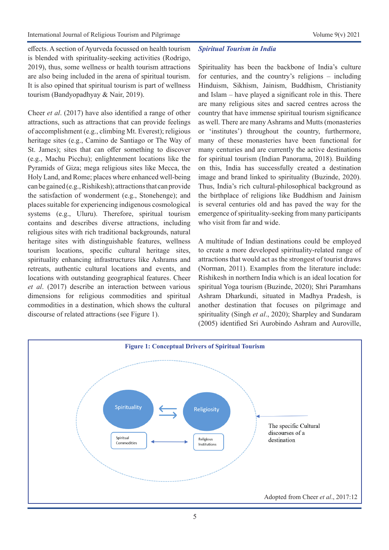effects. A section of Ayurveda focussed on health tourism is blended with spirituality-seeking activities (Rodrigo, 2019), thus, some wellness or health tourism attractions are also being included in the arena of spiritual tourism. It is also opined that spiritual tourism is part of wellness tourism (Bandyopadhyay & Nair, 2019).

Cheer *et al*. (2017) have also identified a range of other attractions, such as attractions that can provide feelings of accomplishment (e.g., climbing Mt. Everest); religious heritage sites (e.g., Camino de Santiago or The Way of St. James); sites that can offer something to discover (e.g., Machu Picchu); enlightenment locations like the Pyramids of Giza; mega religious sites like Mecca, the Holy Land, and Rome; places where enhanced well-being can be gained (e.g., Rishikesh); attractions that can provide the satisfaction of wonderment (e.g., Stonehenge); and places suitable for experiencing indigenous cosmological systems (e.g., Uluru). Therefore, spiritual tourism contains and describes diverse attractions, including religious sites with rich traditional backgrounds, natural heritage sites with distinguishable features, wellness tourism locations, specific cultural heritage sites, spirituality enhancing infrastructures like Ashrams and retreats, authentic cultural locations and events, and locations with outstanding geographical features. Cheer *et al*. (2017) describe an interaction between various dimensions for religious commodities and spiritual commodities in a destination, which shows the cultural discourse of related attractions (see Figure 1).

#### *Spiritual Tourism in India*

Spirituality has been the backbone of India's culture for centuries, and the country's religions – including Hinduism, Sikhism, Jainism, Buddhism, Christianity and Islam – have played a significant role in this. There are many religious sites and sacred centres across the country that have immense spiritual tourism significance as well. There are many Ashrams and Mutts (monasteries or 'institutes') throughout the country, furthermore, many of these monasteries have been functional for many centuries and are currently the active destinations for spiritual tourism (Indian Panorama, 2018). Building on this, India has successfully created a destination image and brand linked to spirituality (Buzinde, 2020). Thus, India's rich cultural-philosophical background as the birthplace of religions like Buddhism and Jainism is several centuries old and has paved the way for the emergence of spirituality-seeking from many participants who visit from far and wide.

A multitude of Indian destinations could be employed to create a more developed spirituality-related range of attractions that would act as the strongest of tourist draws (Norman, 2011). Examples from the literature include: Rishikesh in northern India which is an ideal location for spiritual Yoga tourism (Buzinde, 2020); Shri Paramhans Ashram Dharkundi, situated in Madhya Pradesh, is another destination that focuses on pilgrimage and spirituality (Singh *et al*., 2020); Sharpley and Sundaram (2005) identified Sri Aurobindo Ashram and Auroville,

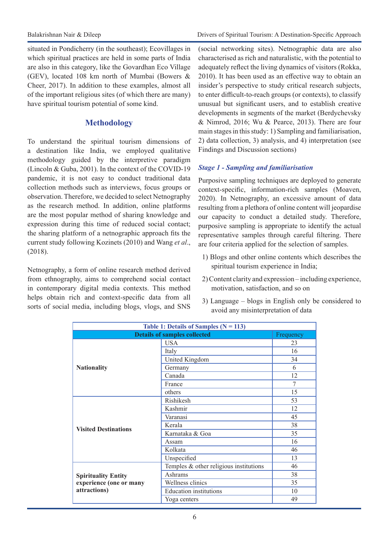situated in Pondicherry (in the southeast); Ecovillages in which spiritual practices are held in some parts of India are also in this category, like the Govardhan Eco Village (GEV), located 108 km north of Mumbai (Bowers & Cheer, 2017). In addition to these examples, almost all of the important religious sites (of which there are many) have spiritual tourism potential of some kind.

### **Methodology**

To understand the spiritual tourism dimensions of a destination like India, we employed qualitative methodology guided by the interpretive paradigm (Lincoln & Guba, 2001). In the context of the COVID-19 pandemic, it is not easy to conduct traditional data collection methods such as interviews, focus groups or observation. Therefore, we decided to select Netnography as the research method. In addition, online platforms are the most popular method of sharing knowledge and expression during this time of reduced social contact; the sharing platform of a netnographic approach fits the current study following Kozinets (2010) and Wang *et al*., (2018).

Netnography, a form of online research method derived from ethnography, aims to comprehend social contact in contemporary digital media contexts. This method helps obtain rich and context-specific data from all sorts of social media, including blogs, vlogs, and SNS

(social networking sites). Netnographic data are also characterised as rich and naturalistic, with the potential to adequately reflect the living dynamics of visitors (Rokka, 2010). It has been used as an effective way to obtain an insider's perspective to study critical research subjects, to enter difficult-to-reach groups (or contexts), to classify unusual but significant users, and to establish creative developments in segments of the market (Berdychevsky & Nimrod, 2016; Wu & Pearce, 2013). There are four main stages in this study: 1) Sampling and familiarisation, 2) data collection, 3) analysis, and 4) interpretation (see Findings and Discussion sections)

#### *Stage 1 - Sampling and familiarisation*

Purposive sampling techniques are deployed to generate context-specific, information-rich samples (Moaven, 2020). In Netnography, an excessive amount of data resulting from a plethora of online content will jeopardise our capacity to conduct a detailed study. Therefore, purposive sampling is appropriate to identify the actual representative samples through careful filtering. There are four criteria applied for the selection of samples.

- 1) Blogs and other online contents which describes the spiritual tourism experience in India;
- 2) Content clarity and expression including experience, motivation, satisfaction, and so on
- 3) Language blogs in English only be considered to avoid any misinterpretation of data

| Table 1: Details of Samples $(N = 113)$ |                                        |           |
|-----------------------------------------|----------------------------------------|-----------|
| <b>Details of samples collected</b>     |                                        | Frequency |
|                                         | <b>USA</b>                             | 23        |
| <b>Nationality</b>                      | Italy                                  | 16        |
|                                         | United Kingdom                         | 34        |
|                                         | Germany                                | 6         |
|                                         | Canada                                 | 12        |
|                                         | France                                 | 7         |
|                                         | others                                 | 15        |
| <b>Visited Destinations</b>             | Rishikesh                              | 53        |
|                                         | Kashmir                                | 12        |
|                                         | Varanasi                               | 45        |
|                                         | Kerala                                 | 38        |
|                                         | Karnataka & Goa                        | 35        |
|                                         | Assam                                  | 16        |
|                                         | Kolkata                                | 46        |
|                                         | Unspecified                            | 13        |
|                                         | Temples & other religious institutions | 46        |
| <b>Spirituality Entity</b>              | Ashrams                                | 38        |
| experience (one or many                 | Wellness clinics                       | 35        |
| attractions)                            | <b>Education</b> institutions          | 10        |
|                                         | Yoga centers                           | 49        |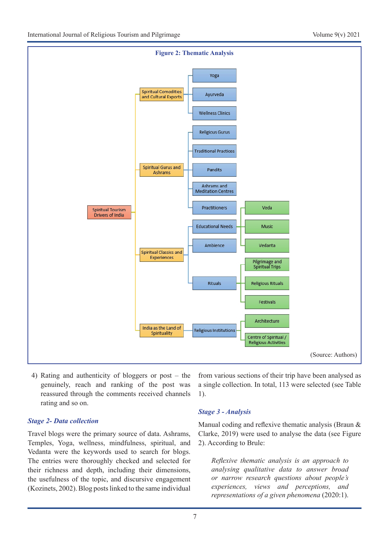

4) Rating and authenticity of bloggers or post – the genuinely, reach and ranking of the post was reassured through the comments received channels rating and so on.

#### *Stage 2- Data collection*

Travel blogs were the primary source of data. Ashrams, Temples, Yoga, wellness, mindfulness, spiritual, and Vedanta were the keywords used to search for blogs. The entries were thoroughly checked and selected for their richness and depth, including their dimensions, the usefulness of the topic, and discursive engagement (Kozinets, 2002). Blog posts linked to the same individual

from various sections of their trip have been analysed as a single collection. In total, 113 were selected (see Table 1).

#### *Stage 3 - Analysis*

Manual coding and reflexive thematic analysis (Braun & Clarke, 2019) were used to analyse the data (see Figure 2). According to Brule:

*Reflexive thematic analysis is an approach to analysing qualitative data to answer broad or narrow research questions about people's experiences, views and perceptions, and representations of a given phenomena* (2020:1).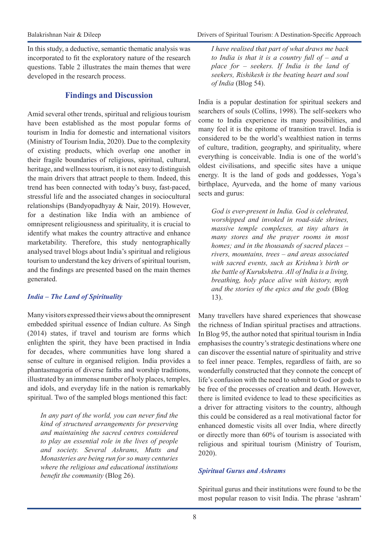In this study, a deductive, semantic thematic analysis was incorporated to fit the exploratory nature of the research questions. Table 2 illustrates the main themes that were developed in the research process.

## **Findings and Discussion**

Amid several other trends, spiritual and religious tourism have been established as the most popular forms of tourism in India for domestic and international visitors (Ministry of Tourism India, 2020). Due to the complexity of existing products, which overlap one another in their fragile boundaries of religious, spiritual, cultural, heritage, and wellness tourism, it is not easy to distinguish the main drivers that attract people to them. Indeed, this trend has been connected with today's busy, fast-paced, stressful life and the associated changes in sociocultural relationships (Bandyopadhyay & Nair, 2019). However, for a destination like India with an ambience of omnipresent religiousness and spirituality, it is crucial to identify what makes the country attractive and enhance marketability. Therefore, this study nentographically analysed travel blogs about India's spiritual and religious tourism to understand the key drivers of spiritual tourism, and the findings are presented based on the main themes generated.

## *India – The Land of Spirituality*

Many visitors expressed their views about the omnipresent embedded spiritual essence of Indian culture. As Singh (2014) states, if travel and tourism are forms which enlighten the spirit, they have been practised in India for decades, where communities have long shared a sense of culture in organised religion. India provides a phantasmagoria of diverse faiths and worship traditions, illustrated by an immense number of holy places, temples, and idols, and everyday life in the nation is remarkably spiritual. Two of the sampled blogs mentioned this fact:

*In any part of the world, you can never find the kind of structured arrangements for preserving and maintaining the sacred centres considered to play an essential role in the lives of people and society. Several Ashrams, Mutts and Monasteries are being run for so many centuries where the religious and educational institutions benefit the community* (Blog 26).

*I have realised that part of what draws me back to India is that it is a country full of – and a place for – seekers. If India is the land of seekers, Rishikesh is the beating heart and soul of India* (Blog 54).

India is a popular destination for spiritual seekers and searchers of souls (Collins, 1998). The self-seekers who come to India experience its many possibilities, and many feel it is the epitome of transition travel. India is considered to be the world's wealthiest nation in terms of culture, tradition, geography, and spirituality, where everything is conceivable. India is one of the world's oldest civilisations, and specific sites have a unique energy. It is the land of gods and goddesses, Yoga's birthplace, Ayurveda, and the home of many various sects and gurus:

*God is ever-present in India. God is celebrated, worshipped and invoked in road-side shrines, massive temple complexes, at tiny altars in many stores and the prayer rooms in most homes; and in the thousands of sacred places – rivers, mountains, trees – and areas associated with sacred events, such as Krishna's birth or the battle of Kurukshetra. All of India is a living, breathing, holy place alive with history, myth and the stories of the epics and the gods* (Blog 13).

Many travellers have shared experiences that showcase the richness of Indian spiritual practises and attractions. In Blog 95, the author noted that spiritual tourism in India emphasises the country's strategic destinations where one can discover the essential nature of spirituality and strive to feel inner peace. Temples, regardless of faith, are so wonderfully constructed that they connote the concept of life's confusion with the need to submit to God or gods to be free of the processes of creation and death. However, there is limited evidence to lead to these specificities as a driver for attracting visitors to the country, although this could be considered as a real motivational factor for enhanced domestic visits all over India, where directly or directly more than 60% of tourism is associated with religious and spiritual tourism (Ministry of Tourism, 2020).

## *Spiritual Gurus and Ashrams*

Spiritual gurus and their institutions were found to be the most popular reason to visit India. The phrase 'ashram'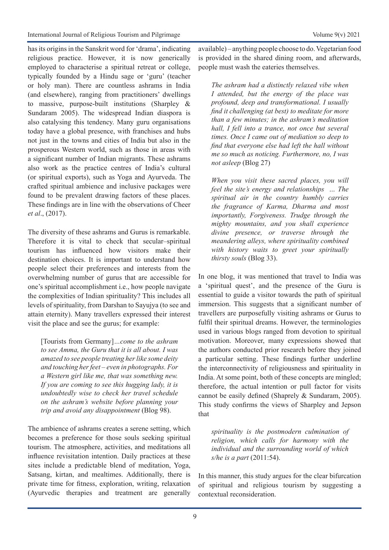has its origins in the Sanskrit word for 'drama', indicating religious practice. However, it is now generically employed to characterise a spiritual retreat or college, typically founded by a Hindu sage or 'guru' (teacher or holy man). There are countless ashrams in India (and elsewhere), ranging from practitioners' dwellings to massive, purpose-built institutions (Sharpley & Sundaram 2005). The widespread Indian diaspora is also catalysing this tendency. Many guru organisations today have a global presence, with franchises and hubs not just in the towns and cities of India but also in the prosperous Western world, such as those in areas with a significant number of Indian migrants. These ashrams also work as the practice centres of India's cultural (or spiritual exports), such as Yoga and Ayurveda. The crafted spiritual ambience and inclusive packages were found to be prevalent drawing factors of these places. These findings are in line with the observations of Cheer *et al*., (2017).

The diversity of these ashrams and Gurus is remarkable. Therefore it is vital to check that secular–spiritual tourism has influenced how visitors make their destination choices. It is important to understand how people select their preferences and interests from the overwhelming number of gurus that are accessible for one's spiritual accomplishment i.e., how people navigate the complexities of Indian spirituality? This includes all levels of spirituality, from Darshan to Sayujya (to see and attain eternity). Many travellers expressed their interest visit the place and see the gurus; for example:

[Tourists from Germany]*…come to the ashram to see Amma, the Guru that it is all about. I was amazed to see people treating her like some deity and touching her feet – even in photographs. For a Western girl like me, that was something new. If you are coming to see this hugging lady, it is undoubtedly wise to check her travel schedule on the ashram's website before planning your trip and avoid any disappointment* (Blog 98).

The ambience of ashrams creates a serene setting, which becomes a preference for those souls seeking spiritual tourism. The atmosphere, activities, and meditations all influence revisitation intention. Daily practices at these sites include a predictable blend of meditation, Yoga, Satsang, kirtan, and mealtimes. Additionally, there is private time for fitness, exploration, writing, relaxation (Ayurvedic therapies and treatment are generally available) – anything people choose to do. Vegetarian food is provided in the shared dining room, and afterwards, people must wash the eateries themselves.

*The ashram had a distinctly relaxed vibe when I attended, but the energy of the place was profound, deep and transformational. I usually find it challenging (at best) to meditate for more than a few minutes; in the ashram's meditation hall, I fell into a trance, not once but several times. Once I came out of mediation so deep to find that everyone else had left the hall without me so much as noticing. Furthermore, no, I was not asleep* (Blog 27)

*When you visit these sacred places, you will feel the site's energy and relationships … The spiritual air in the country humbly carries the fragrance of Karma, Dharma and most importantly, Forgiveness. Trudge through the mighty mountains, and you shall experience divine presence, or traverse through the meandering alleys, where spirituality combined with history waits to greet your spiritually thirsty souls* (Blog 33).

In one blog, it was mentioned that travel to India was a 'spiritual quest', and the presence of the Guru is essential to guide a visitor towards the path of spiritual immersion. This suggests that a significant number of travellers are purposefully visiting ashrams or Gurus to fulfil their spiritual dreams. However, the terminologies used in various blogs ranged from devotion to spiritual motivation. Moreover, many expressions showed that the authors conducted prior research before they joined a particular setting. These findings further underline the interconnectivity of religiousness and spirituality in India. At some point, both of these concepts are mingled; therefore, the actual intention or pull factor for visits cannot be easily defined (Shaprely & Sundaram, 2005). This study confirms the views of Sharpley and Jepson that

*spirituality is the postmodern culmination of religion, which calls for harmony with the individual and the surrounding world of which s/he is a part* (2011:54).

In this manner, this study argues for the clear bifurcation of spiritual and religious tourism by suggesting a contextual reconsideration.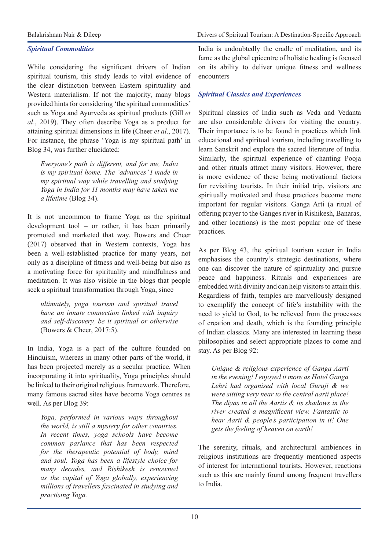#### *Spiritual Commodities*

While considering the significant drivers of Indian spiritual tourism, this study leads to vital evidence of the clear distinction between Eastern spirituality and Western materialism. If not the majority, many blogs provided hints for considering 'the spiritual commodities' such as Yoga and Ayurveda as spiritual products (Gill *et al*., 2019). They often describe Yoga as a product for attaining spiritual dimensions in life (Cheer *et al*., 2017). For instance, the phrase 'Yoga is my spiritual path' in Blog 34, was further elucidated:

*Everyone's path is different, and for me, India is my spiritual home. The 'advances' I made in my spiritual way while travelling and studying Yoga in India for 11 months may have taken me a lifetime* (Blog 34).

It is not uncommon to frame Yoga as the spiritual development tool – or rather, it has been primarily promoted and marketed that way. Bowers and Cheer (2017) observed that in Western contexts, Yoga has been a well-established practice for many years, not only as a discipline of fitness and well-being but also as a motivating force for spirituality and mindfulness and meditation. It was also visible in the blogs that people seek a spiritual transformation through Yoga, since

*ultimately, yoga tourism and spiritual travel have an innate connection linked with inquiry and self-discovery, be it spiritual or otherwise*  (Bowers & Cheer, 2017:5).

In India, Yoga is a part of the culture founded on Hinduism, whereas in many other parts of the world, it has been projected merely as a secular practice. When incorporating it into spirituality, Yoga principles should be linked to their original religious framework. Therefore, many famous sacred sites have become Yoga centres as well. As per Blog 39:

*Yoga, performed in various ways throughout the world, is still a mystery for other countries. In recent times, yoga schools have become common parlance that has been respected for the therapeutic potential of body, mind and soul. Yoga has been a lifestyle choice for many decades, and Rishikesh is renowned as the capital of Yoga globally, experiencing millions of travellers fascinated in studying and practising Yoga.*

India is undoubtedly the cradle of meditation, and its fame as the global epicentre of holistic healing is focused on its ability to deliver unique fitness and wellness encounters

## *Spiritual Classics and Experiences*

Spiritual classics of India such as Veda and Vedanta are also considerable drivers for visiting the country. Their importance is to be found in practices which link educational and spiritual tourism, including travelling to learn Sanskrit and explore the sacred literature of India. Similarly, the spiritual experience of chanting Pooja and other rituals attract many visitors. However, there is more evidence of these being motivational factors for revisiting tourists. In their initial trip, visitors are spiritually motivated and these practices become more important for regular visitors. Ganga Arti (a ritual of offering prayer to the Ganges river in Rishikesh, Banaras, and other locations) is the most popular one of these practices.

As per Blog 43, the spiritual tourism sector in India emphasises the country's strategic destinations, where one can discover the nature of spirituality and pursue peace and happiness. Rituals and experiences are embedded with divinity and can help visitors to attain this. Regardless of faith, temples are marvellously designed to exemplify the concept of life's instability with the need to yield to God, to be relieved from the processes of creation and death, which is the founding principle of Indian classics. Many are interested in learning these philosophies and select appropriate places to come and stay. As per Blog 92:

*Unique & religious experience of Ganga Aarti in the evening! I enjoyed it more as Hotel Ganga Lehri had organised with local Guruji & we were sitting very near to the central aarti place! The diyas in all the Aartis & its shadows in the river created a magnificent view. Fantastic to hear Aarti & people's participation in it! One gets the feeling of heaven on earth!*

The serenity, rituals, and architectural ambiences in religious institutions are frequently mentioned aspects of interest for international tourists. However, reactions such as this are mainly found among frequent travellers to India.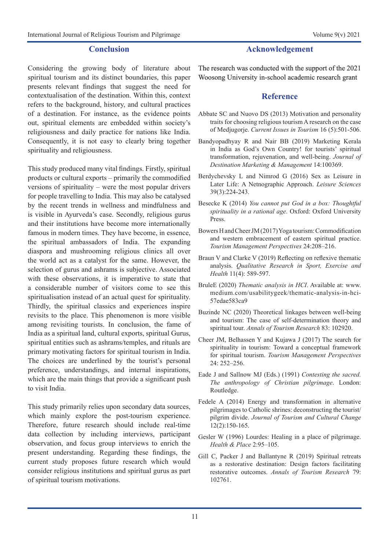#### **Conclusion**

Considering the growing body of literature about spiritual tourism and its distinct boundaries, this paper presents relevant findings that suggest the need for contextualisation of the destination. Within this, context refers to the background, history, and cultural practices of a destination. For instance, as the evidence points out, spiritual elements are embedded within society's religiousness and daily practice for nations like India. Consequently, it is not easy to clearly bring together spirituality and religiousness.

This study produced many vital findings. Firstly, spiritual products or cultural exports – primarily the commodified versions of spirituality – were the most popular drivers for people travelling to India. This may also be catalysed by the recent trends in wellness and mindfulness and is visible in Ayurveda's case. Secondly, religious gurus and their institutions have become more internationally famous in modern times. They have become, in essence, the spiritual ambassadors of India. The expanding diaspora and mushrooming religious clinics all over the world act as a catalyst for the same. However, the selection of gurus and ashrams is subjective. Associated with these observations, it is imperative to state that a considerable number of visitors come to see this spiritualisation instead of an actual quest for spirituality. Thirdly, the spiritual classics and experiences inspire revisits to the place. This phenomenon is more visible among revisiting tourists. In conclusion, the fame of India as a spiritual land, cultural exports, spiritual Gurus, spiritual entities such as ashrams/temples, and rituals are primary motivating factors for spiritual tourism in India. The choices are underlined by the tourist's personal preference, understandings, and internal inspirations, which are the main things that provide a significant push to visit India.

This study primarily relies upon secondary data sources, which mainly explore the post-tourism experience. Therefore, future research should include real-time data collection by including interviews, participant observation, and focus group interviews to enrich the present understanding. Regarding these findings, the current study proposes future research which would consider religious institutions and spiritual gurus as part of spiritual tourism motivations.

### **Acknowledgement**

The research was conducted with the support of the 2021 Woosong University in-school academic research grant

#### **Reference**

- Abbate SC and Nuovo DS (2013) Motivation and personality traits for choosing religious tourism A research on the case of Medjugorje. *Current Issues in Tourism* 16 (5):501-506.
- Bandyopadhyay R and Nair BB (2019) Marketing Kerala in India as God's Own Country! for tourists' spiritual transformation, rejuvenation, and well-being. *Journal of Destination Marketing & Management* 14:100369.
- Berdychevsky L and Nimrod G (2016) Sex as Leisure in Later Life: A Netnographic Approach. *Leisure Sciences* 39(3):224-243.
- Besecke K (2014) *You cannot put God in a box: Thoughtful spirituality in a rational age*. Oxford: Oxford University Press.
- Bowers H and Cheer JM (2017) Yoga tourism: Commodification and western embracement of eastern spiritual practice. *Tourism Management Perspectives* 24:208–216.
- Braun V and Clarke V (2019) Reflecting on reflexive thematic analysis. *Qualitative Research in Sport, Exercise and Health* 11(4): 589-597.
- BruleE (2020) *Thematic analysis in HCI*. Available at: www. medium.com/usabilitygeek/thematic-analysis-in-hci-57edae583ca9
- Buzinde NC (2020) Theoretical linkages between well-being and tourism: The case of self-determination theory and spiritual tour. *Annals of Tourism Research* 83: 102920.
- Cheer JM, Belhassen Y and Kujawa J (2017) The search for spirituality in tourism: Toward a conceptual framework for spiritual tourism. *Tourism Management Perspectives* 24: 252–256.
- Eade J and Sallnow MJ (Eds.) (1991) *Contesting the sacred. The anthropology of Christian pilgrimage*. London: Routledge.
- Fedele A (2014) Energy and transformation in alternative pilgrimages to Catholic shrines: deconstructing the tourist/ pilgrim divide. *Journal of Tourism and Cultural Change* 12(2):150-165.
- Gesler W (1996) Lourdes: Healing in a place of pilgrimage. *Health & Place* 2:95–105.
- Gill C, Packer J and Ballantyne R (2019) Spiritual retreats as a restorative destination: Design factors facilitating restorative outcomes. *Annals of Tourism Research* 79: 102761.